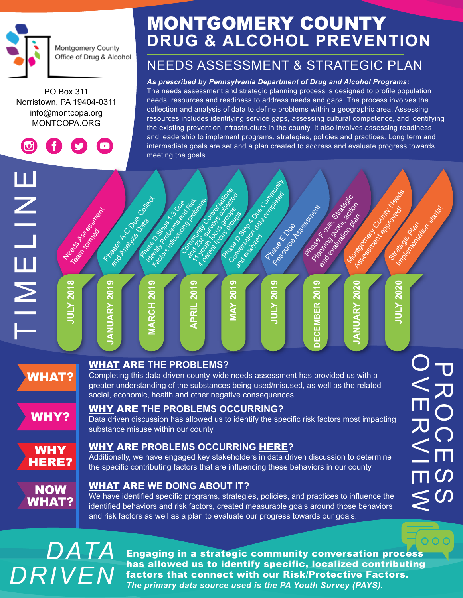

PO Box 311 Norristown, PA 19404-0311 [info@montcopa.org](mailto:info%40montcopa.org?subject=) [MONTCOPA.ORG](http://montcopa.org)

 $\sigma$ 

## MONTGOMERY COUNTY **DRUG & ALCOHOL PREVENTION**

### NEEDS ASSESSMENT & STRATEGIC PLAN

#### *As prescribed by Pennsylvania Department of Drug and Alcohol Programs:*

The needs assessment and strategic planning process is designed to profile population needs, resources and readiness to address needs and gaps. The process involves the collection and analysis of data to define problems within a geographic area. Assessing resources includes identifying service gaps, assessing cultural competence, and identifying the existing prevention infrastructure in the county. It also involves assessing readiness and leadership to implement programs, strategies, policies and practices. Long term and intermediate goals are set and a plan created to address and evaluate progress towards meeting the goals.



## *DATA DRIVEN*

Engaging in a strategic community conversation process has allowed us to identify specific, localized contributing factors that connect with our Risk/Protective Factors. *The primary data source used is the PA Youth Survey (PAYS).*